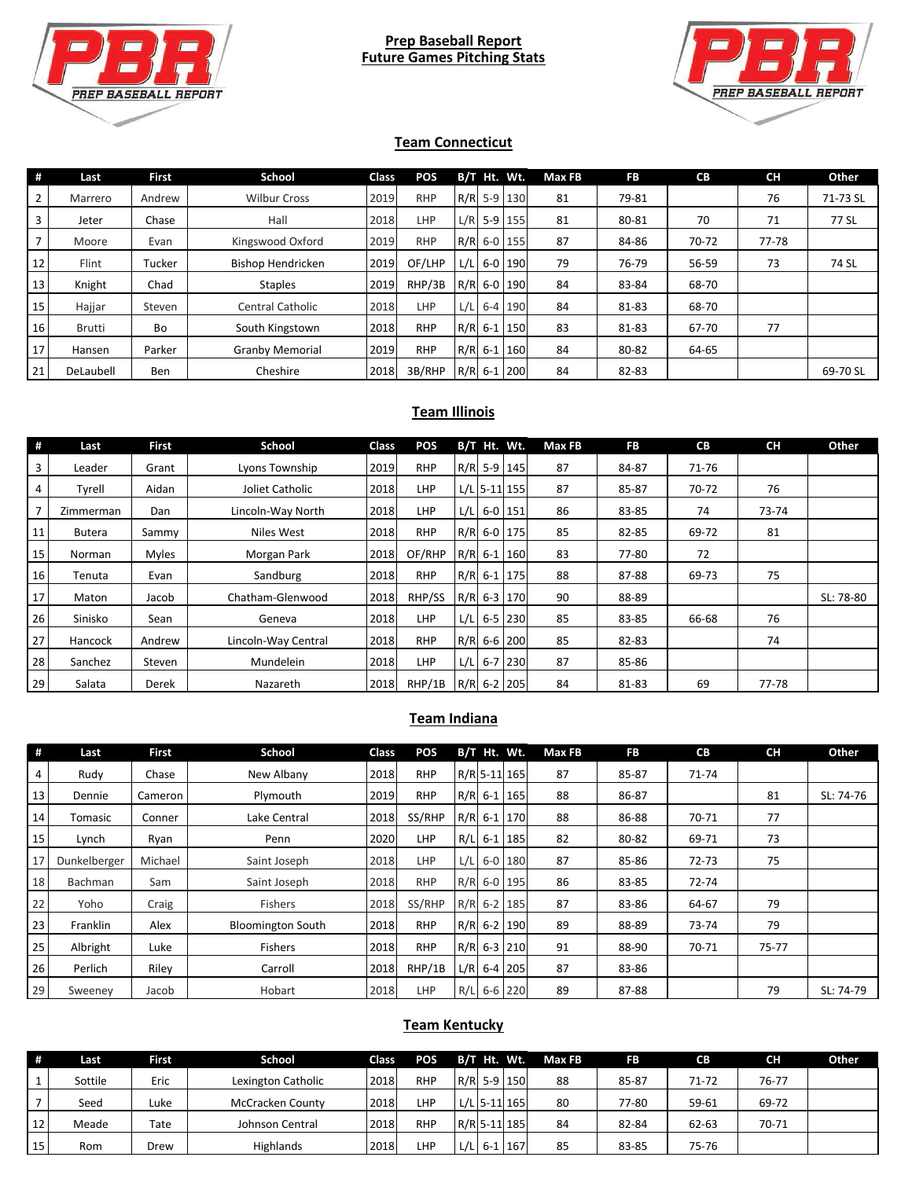

#### **Prep Baseball Report Future Games Pitching Stats**



#### **Team Connecticut**

| #               | Last          | <b>First</b> | School                   | Class | <b>POS</b> |      | B/T Ht. Wt. |               | Max FB | FB    | <b>CB</b> | <b>CH</b> | Other    |
|-----------------|---------------|--------------|--------------------------|-------|------------|------|-------------|---------------|--------|-------|-----------|-----------|----------|
|                 | Marrero       | Andrew       | <b>Wilbur Cross</b>      | 2019  | <b>RHP</b> |      |             | R/R 5-9 130   | 81     | 79-81 |           | 76        | 71-73 SL |
| 3               | Jeter         | Chase        | Hall                     | 2018  | <b>LHP</b> | L/R  |             | $5-9$ 155     | 81     | 80-81 | 70        | 71        | 77 SL    |
|                 | Moore         | Evan         | Kingswood Oxford         | 2019  | <b>RHP</b> |      |             | R/R 6-0 155   | 87     | 84-86 | 70-72     | 77-78     |          |
| 12              | Flint         | Tucker       | <b>Bishop Hendricken</b> | 2019  | OF/LHP     | L/LI |             | 6-0 190       | 79     | 76-79 | 56-59     | 73        | 74 SL    |
| 13              | Knight        | Chad         | <b>Staples</b>           | 2019  | RHP/3B     |      |             | R/R 6-0 190   | 84     | 83-84 | 68-70     |           |          |
| 15 <sub>l</sub> | Hajjar        | Steven       | <b>Central Catholic</b>  | 2018  | LHP        | L/L  |             | 6-4 190       | 84     | 81-83 | 68-70     |           |          |
| 16              | <b>Brutti</b> | Bo           | South Kingstown          | 2018  | <b>RHP</b> |      |             | R/R 6-1 150   | 83     | 81-83 | 67-70     | 77        |          |
| 17              | Hansen        | Parker       | <b>Granby Memorial</b>   | 2019  | <b>RHP</b> |      |             | $R/R$ 6-1 160 | 84     | 80-82 | 64-65     |           |          |
| 21              | DeLaubell     | <b>Ben</b>   | Cheshire                 | 2018  | 3B/RHP     |      |             | $R/R$ 6-1 200 | 84     | 82-83 |           |           | 69-70 SL |

## **Team Illinois**

| #  | Last      | <b>First</b> | School              | <b>Class</b> | <b>POS</b> |     | B/T Ht. Wt.   |                | Max FB | <b>FB</b> | <b>CB</b> | <b>CH</b> | Other     |
|----|-----------|--------------|---------------------|--------------|------------|-----|---------------|----------------|--------|-----------|-----------|-----------|-----------|
| 3  | Leader    | Grant        | Lyons Township      | 2019         | <b>RHP</b> |     |               | R/R 5-9 145    | 87     | 84-87     | 71-76     |           |           |
| 4  | Tyrell    | Aidan        | Joliet Catholic     | 2018         | <b>LHP</b> |     |               | $L/L$ 5-11 155 | 87     | 85-87     | 70-72     | 76        |           |
| 7  | Zimmerman | Dan          | Lincoln-Way North   | 2018         | <b>LHP</b> |     | $L/L$ 6-0 151 |                | 86     | 83-85     | 74        | 73-74     |           |
| 11 | Butera    | Sammy        | Niles West          | 2018         | <b>RHP</b> |     |               | R/R 6-0 175    | 85     | 82-85     | 69-72     | 81        |           |
| 15 | Norman    | Myles        | Morgan Park         | 2018         | OF/RHP     |     |               | R/R 6-1 160    | 83     | 77-80     | 72        |           |           |
| 16 | Tenuta    | Evan         | Sandburg            | 2018         | <b>RHP</b> |     |               | R/R 6-1 175    | 88     | 87-88     | 69-73     | 75        |           |
| 17 | Maton     | Jacob        | Chatham-Glenwood    | 2018         | RHP/SS     |     |               | R/R 6-3 170    | 90     | 88-89     |           |           | SL: 78-80 |
| 26 | Sinisko   | Sean         | Geneva              | 2018         | <b>LHP</b> | L/L |               | $6 - 5$ 230    | 85     | 83-85     | 66-68     | 76        |           |
| 27 | Hancock   | Andrew       | Lincoln-Way Central | 2018         | <b>RHP</b> |     |               | R/R 6-6 200    | 85     | 82-83     |           | 74        |           |
| 28 | Sanchez   | Steven       | Mundelein           | 2018         | <b>LHP</b> | L/L |               | $6 - 7$ 230    | 87     | 85-86     |           |           |           |
| 29 | Salata    | Derek        | Nazareth            | 2018         | RHP/1B     |     |               | $R/R$ 6-2 205  | 84     | 81-83     | 69        | 77-78     |           |

#### **Team Indiana**

| #  | Last           | <b>First</b> | School                   | Class | <b>POS</b> |     | B/T Ht. Wt.   |         | Max FB | <b>FB</b> | CB        | <b>CH</b> | Other     |
|----|----------------|--------------|--------------------------|-------|------------|-----|---------------|---------|--------|-----------|-----------|-----------|-----------|
| 4  | Rudy           | Chase        | New Albany               | 2018  | <b>RHP</b> |     | R/R 5-11 165  |         | 87     | 85-87     | $71 - 74$ |           |           |
| 13 | Dennie         | Cameron      | Plymouth                 | 2019  | <b>RHP</b> |     | $R/R$ 6-1 165 |         | 88     | 86-87     |           | 81        | SL: 74-76 |
| 14 | Tomasic        | Conner       | Lake Central             | 2018  | SS/RHP     |     | R/R 6-1 170   |         | 88     | 86-88     | 70-71     | 77        |           |
| 15 | Lynch          | Ryan         | Penn                     | 2020  | <b>LHP</b> |     | R/L 6-1 185   |         | 82     | 80-82     | 69-71     | 73        |           |
| 17 | Dunkelberger   | Michael      | Saint Joseph             | 2018  | <b>LHP</b> | L/L |               | 6-0 180 | 87     | 85-86     | $72 - 73$ | 75        |           |
| 18 | <b>Bachman</b> | Sam          | Saint Joseph             | 2018  | <b>RHP</b> |     | R/R 6-0 195   |         | 86     | 83-85     | $72 - 74$ |           |           |
| 22 | Yoho           | Craig        | Fishers                  | 2018  | SS/RHP     |     | $R/R$ 6-2 185 |         | 87     | 83-86     | 64-67     | 79        |           |
| 23 | Franklin       | Alex         | <b>Bloomington South</b> | 2018  | <b>RHP</b> |     | R/R 6-2 190   |         | 89     | 88-89     | 73-74     | 79        |           |
| 25 | Albright       | Luke         | Fishers                  | 2018  | <b>RHP</b> |     | R/R 6-3 210   |         | 91     | 88-90     | 70-71     | $75 - 77$ |           |
| 26 | Perlich        | Riley        | Carroll                  | 2018  | RHP/1B     |     | $L/R$ 6-4 205 |         | 87     | 83-86     |           |           |           |
| 29 | Sweeney        | Jacob        | Hobart                   | 2018  | LHP        |     | R/L 6-6 220   |         | 89     | 87-88     |           | 79        | SL: 74-79 |

## **Team Kentucky**

|    | Last    | First | School                  | <b>Class</b> | <b>POS</b> |     | B/T Ht. Wt.  | Max FB | FB    | CВ    | <b>CH</b> | Other |
|----|---------|-------|-------------------------|--------------|------------|-----|--------------|--------|-------|-------|-----------|-------|
|    | Sottile | Eric  | Lexington Catholic      | 2018         | <b>RHP</b> |     | R/R 5-9 150  | 88     | 85-87 | 71-72 | 76-77     |       |
|    | Seed    | Luke  | <b>McCracken County</b> | 2018         | <b>LHP</b> |     | L/L 5-11 165 | 80     | 77-80 | 59-61 | 69-72     |       |
| 12 | Meade   | Tate  | Johnson Central         | 2018         | <b>RHP</b> |     | R/R 5-11 185 | 84     | 82-84 | 62-63 | 70-71     |       |
| 15 | Rom     | Drew  | Highlands               | 2018         | LHP        | L/L | $6-1$ 167    | 85     | 83-85 | 75-76 |           |       |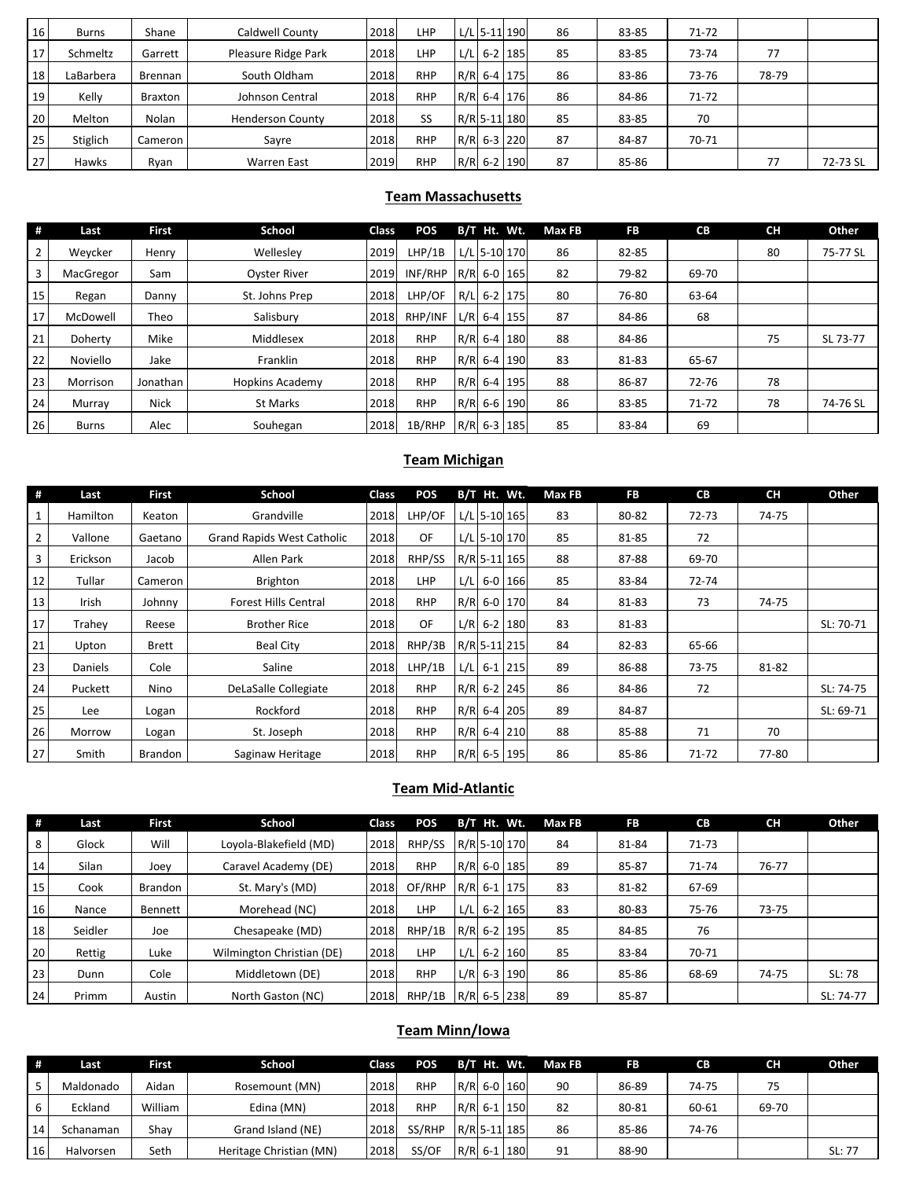| 16 | <b>Burns</b> | Shane     | Caldwell County         | 2018 | LHP        | L/L 5-11 190  | 86 | 83-85 | $71 - 72$ |       |          |
|----|--------------|-----------|-------------------------|------|------------|---------------|----|-------|-----------|-------|----------|
| 17 | Schmeltz     | Garrett   | Pleasure Ridge Park     | 2018 | LHP        | $L/L$ 6-2 185 | 85 | 83-85 | 73-74     | 77    |          |
| 18 | LaBarbera    | Brennan   | South Oldham            | 2018 | <b>RHP</b> | R/R 6-4 175   | 86 | 83-86 | 73-76     | 78-79 |          |
| 19 | Kelly        | Braxton   | Johnson Central         | 2018 | <b>RHP</b> | R/R 6-4 176   | 86 | 84-86 | $71 - 72$ |       |          |
| 20 | Melton       | Nolan     | <b>Henderson County</b> | 2018 | SS         | R/R 5-11 180  | 85 | 83-85 | 70        |       |          |
| 25 | Stiglich     | Cameron I | Sayre                   | 2018 | <b>RHP</b> | R/R 6-3 220   | 87 | 84-87 | 70-71     |       |          |
| 27 | Hawks        | Ryan      | Warren East             | 2019 | <b>RHP</b> | R/R 6-2 190   | 87 | 85-86 |           | 77    | 72-73 SL |

### **Team Massachusetts**

| #  | Last         | <b>First</b> | School                 | Class | POS        |      | B/T Ht. Wt. |               | Max FB | <b>FB</b> | <b>CB</b> | <b>CH</b> | Other    |
|----|--------------|--------------|------------------------|-------|------------|------|-------------|---------------|--------|-----------|-----------|-----------|----------|
| 2  | Wevcker      | Henry        | Welleslev              | 2019  | LHP/1B     |      |             | L/L 5-10 170  | 86     | 82-85     |           | 80        | 75-77 SL |
| 3  | MacGregor    | Sam          | <b>Oyster River</b>    | 2019  | INF/RHP    |      |             | $R/R$ 6-0 165 | 82     | 79-82     | 69-70     |           |          |
| 15 | Regan        | Danny        | St. Johns Prep         | 2018  | LHP/OF     | R/LI |             | $6-2$ 175     | 80     | 76-80     | 63-64     |           |          |
| 17 | McDowell     | Theo         | Salisbury              | 2018  | RHP/INF    |      |             | $L/R$ 6-4 155 | 87     | 84-86     | 68        |           |          |
| 21 | Doherty      | Mike         | Middlesex              | 2018  | <b>RHP</b> |      |             | R/R 6-4 180   | 88     | 84-86     |           | 75        | SL 73-77 |
| 22 | Noviello     | Jake         | Franklin               | 2018  | <b>RHP</b> |      |             | R/R 6-4 190   | 83     | 81-83     | 65-67     |           |          |
| 23 | Morrison     | Jonathan     | <b>Hopkins Academy</b> | 2018  | <b>RHP</b> |      |             | R/R 6-4 195   | 88     | 86-87     | 72-76     | 78        |          |
| 24 | Murray       | <b>Nick</b>  | <b>St Marks</b>        | 2018  | <b>RHP</b> |      |             | R/R 6-6 190   | 86     | 83-85     | $71 - 72$ | 78        | 74-76 SL |
| 26 | <b>Burns</b> | Alec         | Souhegan               | 2018  | 1B/RHP     |      |             | $R/R$ 6-3 185 | 85     | 83-84     | 69        |           |          |

#### **Team Michigan**

| #              | Last           | <b>First</b>   | School                            | Class | <b>POS</b> |               | B/T Ht. Wt.   | Max FB | <b>FB</b> | <b>CB</b> | <b>CH</b> | Other     |
|----------------|----------------|----------------|-----------------------------------|-------|------------|---------------|---------------|--------|-----------|-----------|-----------|-----------|
|                | Hamilton       | Keaton         | Grandville                        | 2018  | LHP/OF     |               | L/L 5-10 165  | 83     | 80-82     | $72 - 73$ | 74-75     |           |
| $\overline{2}$ | Vallone        | Gaetano        | <b>Grand Rapids West Catholic</b> | 2018  | 0F         |               | L/L 5-10 170  | 85     | 81-85     | 72        |           |           |
| 3              | Erickson       | Jacob          | Allen Park                        | 2018  | RHP/SS     | R/R 5-11 165  |               | 88     | 87-88     | 69-70     |           |           |
| 12             | Tullar         | Cameron        | <b>Brighton</b>                   | 2018  | <b>LHP</b> |               | $L/L$ 6-0 166 | 85     | 83-84     | $72 - 74$ |           |           |
| 13             | Irish          | Johnny         | <b>Forest Hills Central</b>       | 2018  | <b>RHP</b> |               | R/R 6-0 170   | 84     | 81-83     | 73        | 74-75     |           |
| 17             | Trahey         | Reese          | <b>Brother Rice</b>               | 2018  | OF         |               | $L/R$ 6-2 180 | 83     | 81-83     |           |           | SL: 70-71 |
| 21             | Upton          | <b>Brett</b>   | <b>Beal City</b>                  | 2018  | RHP/3B     | R/R 5-11 215  |               | 84     | 82-83     | 65-66     |           |           |
| 23             | <b>Daniels</b> | Cole           | Saline                            | 2018  | LHP/1B     | $L/L$ 6-1 215 |               | 89     | 86-88     | 73-75     | 81-82     |           |
| 24             | Puckett        | Nino           | DeLaSalle Collegiate              | 2018  | <b>RHP</b> |               | $R/R$ 6-2 245 | 86     | 84-86     | 72        |           | SL: 74-75 |
| 25             | Lee            | Logan          | Rockford                          | 2018  | <b>RHP</b> | $R/R$ 6-4 205 |               | 89     | 84-87     |           |           | SL: 69-71 |
| 26             | Morrow         | Logan          | St. Joseph                        | 2018  | <b>RHP</b> | R/R 6-4 210   |               | 88     | 85-88     | 71        | 70        |           |
| 27             | Smith          | <b>Brandon</b> | Saginaw Heritage                  | 2018  | <b>RHP</b> | $R/R$ 6-5 195 |               | 86     | 85-86     | $71 - 72$ | 77-80     |           |

### **Team Mid-Atlantic**

| #  | Last    | First          | School                    | <b>Class</b> | <b>POS</b> |     | $B/T$ Ht. Wt. |             | Max FB | <b>FB</b> | <b>CB</b> | <b>CH</b> | Other     |
|----|---------|----------------|---------------------------|--------------|------------|-----|---------------|-------------|--------|-----------|-----------|-----------|-----------|
| 8  | Glock   | Will           | Loyola-Blakefield (MD)    | 2018         | RHP/SS     |     | R/R 5-10 170  |             | 84     | 81-84     | $71 - 73$ |           |           |
| 14 | Silan   | Joev           | Caravel Academy (DE)      | 2018         | <b>RHP</b> |     | R/R 6-0 185   |             | 89     | 85-87     | $71 - 74$ | 76-77     |           |
| 15 | Cook    | <b>Brandon</b> | St. Mary's (MD)           | 2018         | OF/RHP     |     | $R/R$ 6-1 175 |             | 83     | 81-82     | 67-69     |           |           |
| 16 | Nance   | Bennett        | Morehead (NC)             | 2018         | LHP        | L/L |               | $6 - 2$ 165 | 83     | 80-83     | 75-76     | $73 - 75$ |           |
| 18 | Seidler | Joe            | Chesapeake (MD)           | 2018         | RHP/1B     |     | $R/R$ 6-2 195 |             | 85     | 84-85     | 76        |           |           |
| 20 | Rettig  | Luke           | Wilmington Christian (DE) | 2018         | <b>LHP</b> | L/L |               | $6 - 2$ 160 | 85     | 83-84     | 70-71     |           |           |
| 23 | Dunn    | Cole           | Middletown (DE)           | 2018         | <b>RHP</b> | L/R |               | 6-3 190     | 86     | 85-86     | 68-69     | 74-75     | SL: 78    |
| 24 | Primm   | Austin         | North Gaston (NC)         | 2018         | RHP/1B     |     | $R/R$ 6-5 238 |             | 89     | 85-87     |           |           | SL: 74-77 |

## **Team Minn/Iowa**

| #  | Last      | First   | School                  | Class | <b>POS</b> |  | B/T Ht. Wt.  | Max FB | FB    | <b>CB</b> | <b>CH</b> | Other  |
|----|-----------|---------|-------------------------|-------|------------|--|--------------|--------|-------|-----------|-----------|--------|
|    | Maldonado | Aidan   | Rosemount (MN)          | 2018  | <b>RHP</b> |  | R/R 6-0 160  | 90     | 86-89 | 74-75     | 75        |        |
|    | Eckland   | William | Edina (MN)              | 2018  | <b>RHP</b> |  | R/R 6-1 150  | 82     | 80-81 | 60-61     | 69-70     |        |
| 14 | Schanaman | Shav    | Grand Island (NE)       | 2018  | SS/RHP     |  | R/R 5-11 185 | 86     | 85-86 | 74-76     |           |        |
| 16 | Halvorsen | Seth    | Heritage Christian (MN) | 2018  | SS/OF      |  | R/R 6-1 180  | 91     | 88-90 |           |           | SL: 77 |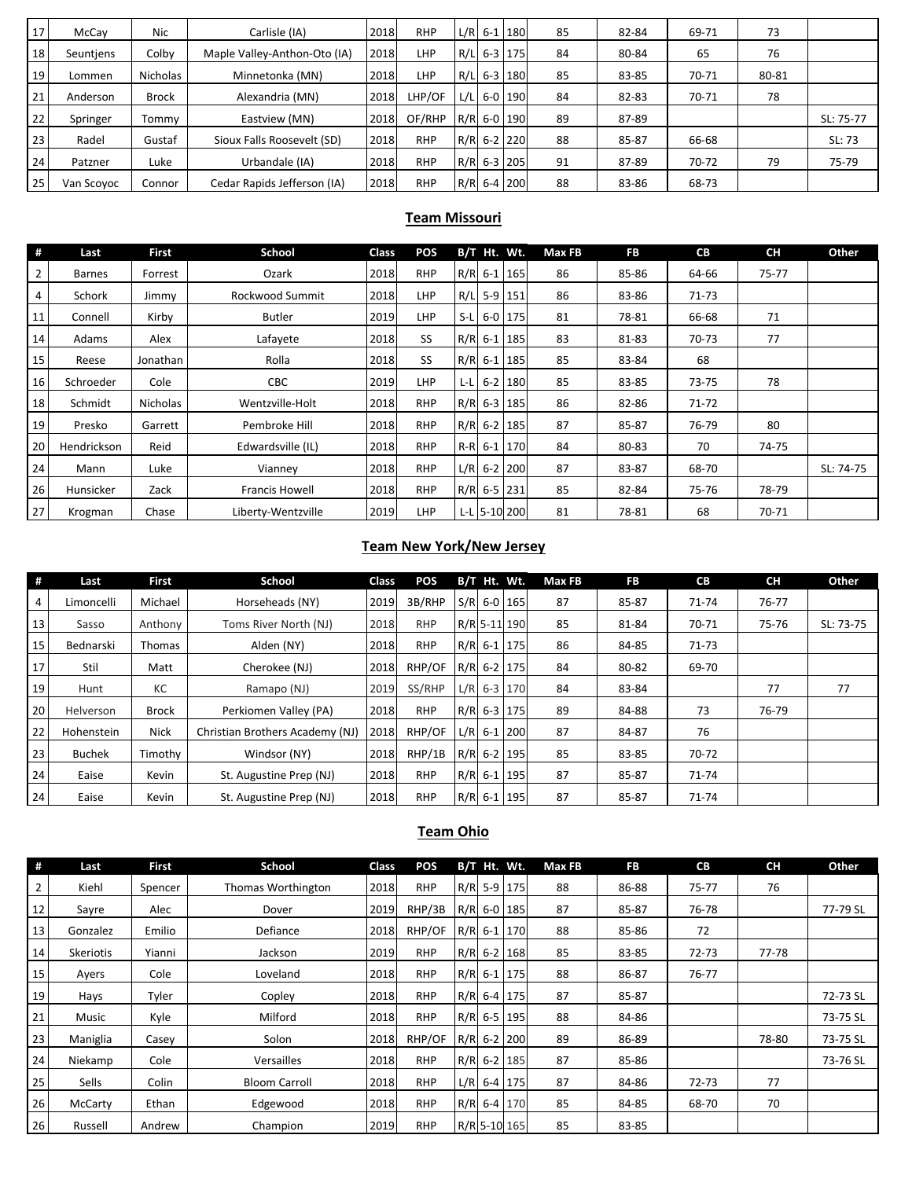| 17 | McCay      | Nic          | Carlisle (IA)                | 2018 | <b>RHP</b> |     | $L/R$ 6-1 180 | 85 | 82-84 | 69-71 | 73    |           |
|----|------------|--------------|------------------------------|------|------------|-----|---------------|----|-------|-------|-------|-----------|
| 18 | Seuntiens  | Colby        | Maple Valley-Anthon-Oto (IA) | 2018 | <b>LHP</b> | R/L | $6 - 3$ 175   | 84 | 80-84 | 65    | 76    |           |
| 19 | Lommen     | Nicholas     | Minnetonka (MN)              | 2018 | LHP        | R/L | 6-3 180       | 85 | 83-85 | 70-71 | 80-81 |           |
| 21 | Anderson   | <b>Brock</b> | Alexandria (MN)              | 2018 | LHP/OF     | L/L | 6-0 190       | 84 | 82-83 | 70-71 | 78    |           |
| 22 | Springer   | Tommv        | Eastview (MN)                | 2018 | OF/RHP     |     | R/R 6-0 190   | 89 | 87-89 |       |       | SL: 75-77 |
| 23 | Radel      | Gustaf       | Sioux Falls Roosevelt (SD)   | 2018 | <b>RHP</b> |     | $R/R$ 6-2 220 | 88 | 85-87 | 66-68 |       | SL: 73    |
| 24 | Patzner    | Luke         | Urbandale (IA)               | 2018 | <b>RHP</b> |     | $R/R$ 6-3 205 | 91 | 87-89 | 70-72 | 79    | 75-79     |
| 25 | Van Scoyoc | Connor       | Cedar Rapids Jefferson (IA)  | 2018 | <b>RHP</b> |     | $R/R$ 6-4 200 | 88 | 83-86 | 68-73 |       |           |

#### **Team Missouri**

| #  | Last          | <b>First</b> | School                | <b>Class</b> | <b>POS</b> |  | B/T Ht. Wt.   | <b>Max FB</b> | <b>FB</b> | <b>CB</b> | <b>CH</b> | Other     |
|----|---------------|--------------|-----------------------|--------------|------------|--|---------------|---------------|-----------|-----------|-----------|-----------|
| 2  | <b>Barnes</b> | Forrest      | Ozark                 | 2018         | <b>RHP</b> |  | $R/R$ 6-1 165 | 86            | 85-86     | 64-66     | 75-77     |           |
| 4  | Schork        | Jimmy        | Rockwood Summit       | 2018         | <b>LHP</b> |  | R/L 5-9 151   | 86            | 83-86     | 71-73     |           |           |
| 11 | Connell       | Kirby        | Butler                | 2019         | <b>LHP</b> |  | S-L 6-0 175   | 81            | 78-81     | 66-68     | 71        |           |
| 14 | Adams         | Alex         | Lafayete              | 2018         | SS.        |  | $R/R$ 6-1 185 | 83            | 81-83     | 70-73     | 77        |           |
| 15 | Reese         | Jonathan     | Rolla                 | 2018         | SS.        |  | $R/R$ 6-1 185 | 85            | 83-84     | 68        |           |           |
| 16 | Schroeder     | Cole         | <b>CBC</b>            | 2019         | <b>LHP</b> |  | $L-L$ 6-2 180 | 85            | 83-85     | 73-75     | 78        |           |
| 18 | Schmidt       | Nicholas     | Wentzville-Holt       | 2018         | <b>RHP</b> |  | R/R 6-3 185   | 86            | 82-86     | 71-72     |           |           |
| 19 | Presko        | Garrett      | Pembroke Hill         | 2018         | <b>RHP</b> |  | $R/R$ 6-2 185 | 87            | 85-87     | 76-79     | 80        |           |
| 20 | Hendrickson   | Reid         | Edwardsville (IL)     | 2018         | <b>RHP</b> |  | R-R 6-1 170   | 84            | 80-83     | 70        | 74-75     |           |
| 24 | Mann          | Luke         | Vianney               | 2018         | <b>RHP</b> |  | $L/R$ 6-2 200 | 87            | 83-87     | 68-70     |           | SL: 74-75 |
| 26 | Hunsicker     | Zack         | <b>Francis Howell</b> | 2018         | <b>RHP</b> |  | R/R 6-5 231   | 85            | 82-84     | 75-76     | 78-79     |           |
| 27 | Krogman       | Chase        | Liberty-Wentzville    | 2019         | LHP        |  | L-L 5-10 200  | 81            | 78-81     | 68        | 70-71     |           |

## **Team New York/New Jersey**

| #  | Last          | <b>First</b> | School                          | <b>Class</b> | <b>POS</b> |               | $B/T$ Ht. Wt. | <b>Max FB</b> | <b>FB</b> | <b>CB</b> | <b>CH</b> | Other     |
|----|---------------|--------------|---------------------------------|--------------|------------|---------------|---------------|---------------|-----------|-----------|-----------|-----------|
| 4  | Limoncelli    | Michael      | Horseheads (NY)                 | 2019         | 3B/RHP     |               | $S/R$ 6-0 165 | 87            | 85-87     | $71 - 74$ | 76-77     |           |
| 13 | Sasso         | Anthony      | Toms River North (NJ)           | 2018         | <b>RHP</b> |               | R/R 5-11 190  | 85            | 81-84     | 70-71     | 75-76     | SL: 73-75 |
| 15 | Bednarski     | Thomas       | Alden (NY)                      | 2018         | <b>RHP</b> |               | $R/R$ 6-1 175 | 86            | 84-85     | 71-73     |           |           |
| 17 | Stil          | Matt         | Cherokee (NJ)                   | 2018         | RHP/OF     |               | $R/R$ 6-2 175 | 84            | 80-82     | 69-70     |           |           |
| 19 | Hunt          | КC           | Ramapo (NJ)                     | 2019         | SS/RHP     |               | $L/R$ 6-3 170 | 84            | 83-84     |           | 77        | 77        |
| 20 | Helverson     | <b>Brock</b> | Perkiomen Valley (PA)           | 2018         | <b>RHP</b> |               | R/R 6-3 175   | 89            | 84-88     | 73        | 76-79     |           |
| 22 | Hohenstein    | <b>Nick</b>  | Christian Brothers Academy (NJ) | 2018         | RHP/OF     |               | $L/R$ 6-1 200 | 87            | 84-87     | 76        |           |           |
| 23 | <b>Buchek</b> | Timothy      | Windsor (NY)                    | 2018         | RHP/1B     | $R/R$ 6-2 195 |               | 85            | 83-85     | 70-72     |           |           |
| 24 | Eaise         | Kevin        | St. Augustine Prep (NJ)         | 2018         | <b>RHP</b> |               | R/R 6-1 195   | 87            | 85-87     | 71-74     |           |           |
| 24 | Eaise         | Kevin        | St. Augustine Prep (NJ)         | 2018         | <b>RHP</b> | R/R 6-1 195   |               | 87            | 85-87     | $71 - 74$ |           |           |

## **Team Ohio**

| #               | Last             | First   | School               | Class | <b>POS</b> | B/T Ht. Wt. |               | <b>Max FB</b> | <b>FB</b> | <b>CB</b> | <b>CH</b> | Other    |
|-----------------|------------------|---------|----------------------|-------|------------|-------------|---------------|---------------|-----------|-----------|-----------|----------|
| $\overline{2}$  | Kiehl            | Spencer | Thomas Worthington   | 2018  | <b>RHP</b> |             | R/R 5-9 175   | 88            | 86-88     | $75 - 77$ | 76        |          |
| 12              | Sayre            | Alec    | Dover                | 2019  | RHP/3B     |             | R/R 6-0 185   | 87            | 85-87     | 76-78     |           | 77-79 SL |
| 13              | Gonzalez         | Emilio  | Defiance             | 2018  | RHP/OF     |             | $R/R$ 6-1 170 | 88            | 85-86     | 72        |           |          |
| 14              | <b>Skeriotis</b> | Yianni  | Jackson              | 2019  | <b>RHP</b> |             | R/R 6-2 168   | 85            | 83-85     | $72 - 73$ | 77-78     |          |
| 15 <sup>1</sup> | Ayers            | Cole    | Loveland             | 2018  | <b>RHP</b> |             | $R/R$ 6-1 175 | 88            | 86-87     | 76-77     |           |          |
| 19              | Hays             | Tyler   | Copley               | 2018  | <b>RHP</b> |             | $R/R$ 6-4 175 | 87            | 85-87     |           |           | 72-73 SL |
| 21              | Music            | Kyle    | Milford              | 2018  | <b>RHP</b> |             | $R/R$ 6-5 195 | 88            | 84-86     |           |           | 73-75 SL |
| 23              | Maniglia         | Casey   | Solon                | 2018  | RHP/OF     |             | R/R 6-2 200   | 89            | 86-89     |           | 78-80     | 73-75 SL |
| 24              | Niekamp          | Cole    | Versailles           | 2018  | <b>RHP</b> |             | $R/R$ 6-2 185 | 87            | 85-86     |           |           | 73-76 SL |
| 25              | <b>Sells</b>     | Colin   | <b>Bloom Carroll</b> | 2018  | <b>RHP</b> |             | $L/R$ 6-4 175 | 87            | 84-86     | $72 - 73$ | 77        |          |
| 26              | McCarty          | Ethan   | Edgewood             | 2018  | <b>RHP</b> |             | $R/R$ 6-4 170 | 85            | 84-85     | 68-70     | 70        |          |
| 26              | Russell          | Andrew  | Champion             | 2019  | <b>RHP</b> |             | R/R 5-10 165  | 85            | 83-85     |           |           |          |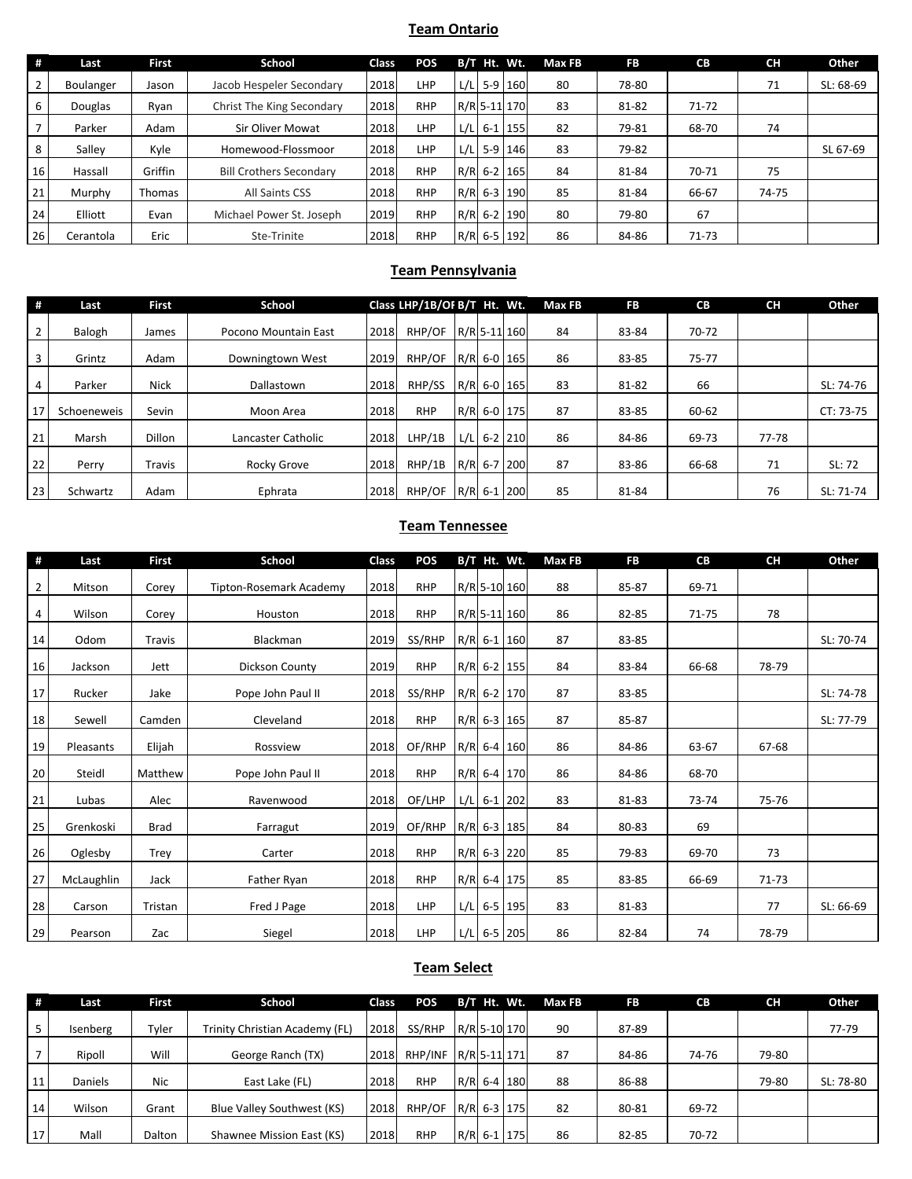## **Team Ontario**

| #              | Last      | First   | School                         | <b>Class</b> | <b>POS</b> |      | B/T Ht. Wt.  | Max FB | <b>FB</b> | <b>CB</b> | <b>CH</b> | Other     |
|----------------|-----------|---------|--------------------------------|--------------|------------|------|--------------|--------|-----------|-----------|-----------|-----------|
| $\overline{2}$ | Boulanger | Jason   | Jacob Hespeler Secondary       | 2018         | LHP        | L/L  | 5-9 160      | 80     | 78-80     |           | 71        | SL: 68-69 |
|                | Douglas   | Ryan    | Christ The King Secondary      | 2018         | <b>RHP</b> |      | R/R 5-11 170 | 83     | 81-82     | $71 - 72$ |           |           |
|                | Parker    | Adam    | Sir Oliver Mowat               | 2018         | LHP        | L/L  | $6 - 1$ 155  | 82     | 79-81     | 68-70     | 74        |           |
|                | Salley    | Kyle    | Homewood-Flossmoor             | 2018         | LHP        | L/LI | $5-9$ 146    | 83     | 79-82     |           |           | SL 67-69  |
| 16             | Hassall   | Griffin | <b>Bill Crothers Secondary</b> | 2018         | <b>RHP</b> |      | R/R 6-2 165  | 84     | 81-84     | 70-71     | 75        |           |
| 21             | Murphy    | Thomas  | <b>All Saints CSS</b>          | 2018         | <b>RHP</b> |      | R/R 6-3 190  | 85     | 81-84     | 66-67     | 74-75     |           |
| 24             | Elliott   | Evan    | Michael Power St. Joseph       | 2019         | <b>RHP</b> |      | R/R 6-2 190  | 80     | 79-80     | 67        |           |           |
| 26             | Cerantola | Eric    | Ste-Trinite                    | 2018         | <b>RHP</b> |      | R/R 6-5 192  | 86     | 84-86     | $71 - 73$ |           |           |

## **Team Pennsylvania**

| #  | Last        | <b>First</b>  | School               |      | Class LHP/1B/OF B/T Ht. Wt. |      |               | Max FB | FB    | <b>CB</b> | <b>CH</b> | Other     |
|----|-------------|---------------|----------------------|------|-----------------------------|------|---------------|--------|-------|-----------|-----------|-----------|
|    | Balogh      | James         | Pocono Mountain East | 2018 | RHP/OF                      |      | R/R 5-11 160  | 84     | 83-84 | 70-72     |           |           |
| 3  | Grintz      | Adam          | Downingtown West     | 2019 | RHP/OF                      |      | R/R 6-0 165   | 86     | 83-85 | 75-77     |           |           |
| 4  | Parker      | <b>Nick</b>   | Dallastown           | 2018 | RHP/SS                      |      | R/R 6-0 165   | 83     | 81-82 | 66        |           | SL: 74-76 |
| 17 | Schoeneweis | Sevin         | Moon Area            | 2018 | <b>RHP</b>                  |      | R/R 6-0 175   | 87     | 83-85 | 60-62     |           | CT: 73-75 |
| 21 | Marsh       | <b>Dillon</b> | Lancaster Catholic   | 2018 | LHP/1B                      | L/LI | $6-2$ 210     | 86     | 84-86 | 69-73     | 77-78     |           |
| 22 | Perry       | Travis        | Rocky Grove          | 2018 | RHP/1B                      |      | R/R 6-7 200   | 87     | 83-86 | 66-68     | 71        | SL: 72    |
| 23 | Schwartz    | Adam          | Ephrata              | 2018 | RHP/OF                      |      | $R/R$ 6-1 200 | 85     | 81-84 |           | 76        | SL: 71-74 |

# **Team Tennessee**

| #              | Last       | <b>First</b>  | <b>School</b>           | Class | <b>POS</b> | B/T Ht. Wt.   | Max FB | <b>FB</b> | <b>CB</b> | <b>CH</b> | Other     |
|----------------|------------|---------------|-------------------------|-------|------------|---------------|--------|-----------|-----------|-----------|-----------|
| $\overline{2}$ | Mitson     | Corey         | Tipton-Rosemark Academy | 2018  | <b>RHP</b> | R/R 5-10 160  | 88     | 85-87     | 69-71     |           |           |
| 4              | Wilson     | Corey         | Houston                 | 2018  | <b>RHP</b> | R/R 5-11 160  | 86     | 82-85     | 71-75     | 78        |           |
| 14             | Odom       | <b>Travis</b> | Blackman                | 2019  | SS/RHP     | $R/R$ 6-1 160 | 87     | 83-85     |           |           | SL: 70-74 |
| 16             | Jackson    | Jett          | Dickson County          | 2019  | <b>RHP</b> | $R/R$ 6-2 155 | 84     | 83-84     | 66-68     | 78-79     |           |
| 17             | Rucker     | Jake          | Pope John Paul II       | 2018  | SS/RHP     | R/R 6-2 170   | 87     | 83-85     |           |           | SL: 74-78 |
| 18             | Sewell     | Camden        | Cleveland               | 2018  | <b>RHP</b> | $R/R$ 6-3 165 | 87     | 85-87     |           |           | SL: 77-79 |
| 19             | Pleasants  | Elijah        | Rossview                | 2018  | OF/RHP     | $R/R$ 6-4 160 | 86     | 84-86     | 63-67     | 67-68     |           |
| 20             | Steidl     | Matthew       | Pope John Paul II       | 2018  | <b>RHP</b> | $R/R$ 6-4 170 | 86     | 84-86     | 68-70     |           |           |
| 21             | Lubas      | Alec          | Ravenwood               | 2018  | OF/LHP     | $L/L$ 6-1 202 | 83     | 81-83     | 73-74     | 75-76     |           |
| 25             | Grenkoski  | <b>Brad</b>   | Farragut                | 2019  | OF/RHP     | $R/R$ 6-3 185 | 84     | 80-83     | 69        |           |           |
| 26             | Oglesby    | Trey          | Carter                  | 2018  | <b>RHP</b> | $R/R$ 6-3 220 | 85     | 79-83     | 69-70     | 73        |           |
| 27             | McLaughlin | Jack          | Father Ryan             | 2018  | <b>RHP</b> | $R/R$ 6-4 175 | 85     | 83-85     | 66-69     | 71-73     |           |
| 28             | Carson     | Tristan       | Fred J Page             | 2018  | LHP        | $L/L$ 6-5 195 | 83     | 81-83     |           | 77        | SL: 66-69 |
| 29             | Pearson    | Zac           | Siegel                  | 2018  | LHP        | $L/L$ 6-5 205 | 86     | 82-84     | 74        | 78-79     |           |

## **Team Select**

| #  | Last     | First  | School                         | <b>Class</b> | <b>POS</b> |  | B/T Ht. Wt.  | Max FB | <b>FB</b> | <b>CB</b> | CН    | Other     |
|----|----------|--------|--------------------------------|--------------|------------|--|--------------|--------|-----------|-----------|-------|-----------|
|    | Isenberg | Tyler  | Trinity Christian Academy (FL) | 2018         | SS/RHP     |  | R/R 5-10 170 | 90     | 87-89     |           |       | 77-79     |
|    | Ripoll   | Will   | George Ranch (TX)              | 2018         | RHP/INF    |  | R/R 5-11 171 | 87     | 84-86     | 74-76     | 79-80 |           |
| 11 | Daniels  | Nic    | East Lake (FL)                 | 2018         | <b>RHP</b> |  | R/R 6-4 180  | 88     | 86-88     |           | 79-80 | SL: 78-80 |
| 14 | Wilson   | Grant  | Blue Valley Southwest (KS)     | 2018         | RHP/OF     |  | R/R 6-3 175  | 82     | 80-81     | 69-72     |       |           |
| 17 | Mall     | Dalton | Shawnee Mission East (KS)      | 2018         | <b>RHP</b> |  | R/R 6-1 175  | 86     | 82-85     | 70-72     |       |           |